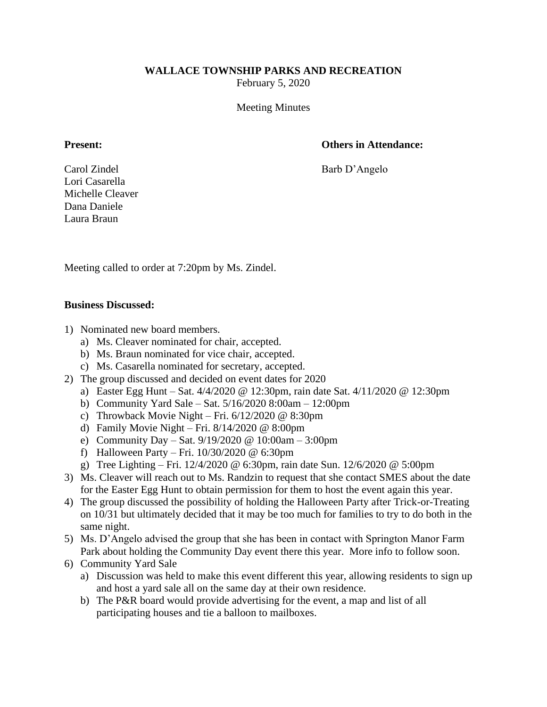## **WALLACE TOWNSHIP PARKS AND RECREATION**

February 5, 2020

Meeting Minutes

## **Present: Others in Attendance:**

Carol Zindel Barb D'Angelo

Lori Casarella Michelle Cleaver Dana Daniele Laura Braun

Meeting called to order at 7:20pm by Ms. Zindel.

## **Business Discussed:**

- 1) Nominated new board members.
	- a) Ms. Cleaver nominated for chair, accepted.
	- b) Ms. Braun nominated for vice chair, accepted.
	- c) Ms. Casarella nominated for secretary, accepted.
- 2) The group discussed and decided on event dates for 2020
	- a) Easter Egg Hunt Sat. 4/4/2020 @ 12:30pm, rain date Sat. 4/11/2020 @ 12:30pm
	- b) Community Yard Sale Sat. 5/16/2020 8:00am 12:00pm
	- c) Throwback Movie Night Fri.  $6/12/2020 \ @ \ 8:30 \text{pm}$
	- d) Family Movie Night Fri. 8/14/2020 @ 8:00pm
	- e) Community Day Sat. 9/19/2020 @ 10:00am 3:00pm
	- f) Halloween Party Fri. 10/30/2020 @ 6:30pm
	- g) Tree Lighting Fri. 12/4/2020 @ 6:30pm, rain date Sun. 12/6/2020 @ 5:00pm
- 3) Ms. Cleaver will reach out to Ms. Randzin to request that she contact SMES about the date for the Easter Egg Hunt to obtain permission for them to host the event again this year.
- 4) The group discussed the possibility of holding the Halloween Party after Trick-or-Treating on 10/31 but ultimately decided that it may be too much for families to try to do both in the same night.
- 5) Ms. D'Angelo advised the group that she has been in contact with Springton Manor Farm Park about holding the Community Day event there this year. More info to follow soon.
- 6) Community Yard Sale
	- a) Discussion was held to make this event different this year, allowing residents to sign up and host a yard sale all on the same day at their own residence.
	- b) The P&R board would provide advertising for the event, a map and list of all participating houses and tie a balloon to mailboxes.